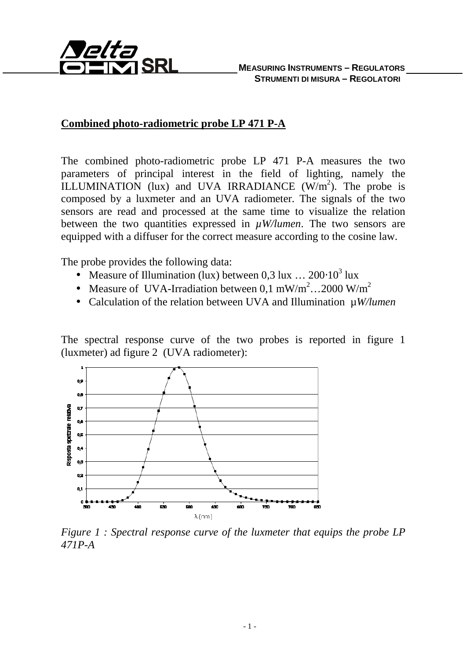

## **Combined photo-radiometric probe LP 471 P-A**

The combined photo-radiometric probe LP 471 P-A measures the two parameters of principal interest in the field of lighting, namely the ILLUMINATION (lux) and UVA IRRADIANCE  $(W/m^2)$ . The probe is composed by a luxmeter and an UVA radiometer. The signals of the two sensors are read and processed at the same time to visualize the relation between the two quantities expressed in  $\mu$ W/lumen. The two sensors are equipped with a diffuser for the correct measure according to the cosine law.

The probe provides the following data:

- Measure of Illumination (lux) between  $0.3 \text{ lux} \dots 200 \cdot 10^3 \text{ lux}$
- Measure of UVA-Irradiation between 0,1 mW/m<sup>2</sup>...2000 W/m<sup>2</sup>
- Calculation of the relation between UVA and Illumination µ*W/lumen*

The spectral response curve of the two probes is reported in figure 1 (luxmeter) ad figure 2 (UVA radiometer):



*Figure 1 : Spectral response curve of the luxmeter that equips the probe LP 471P-A*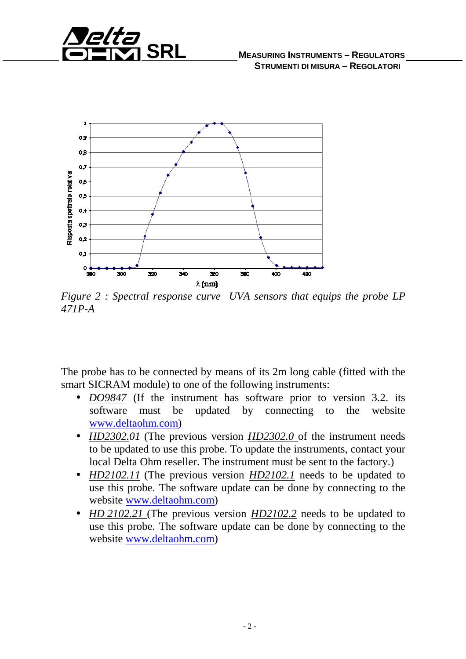



*Figure 2 : Spectral response curve UVA sensors that equips the probe LP 471P-A* 

The probe has to be connected by means of its 2m long cable (fitted with the smart SICRAM module) to one of the following instruments:

- *DO9847* (If the instrument has software prior to version 3.2. its software must be updated by connecting to the website www.deltaohm.com)
- *HD2302.01* (The previous version *HD2302.0* of the instrument needs to be updated to use this probe. To update the instruments, contact your local Delta Ohm reseller. The instrument must be sent to the factory.)
- *HD2102.11* (The previous version *HD2102.1* needs to be updated to use this probe. The software update can be done by connecting to the website www.deltaohm.com)
- *HD 2102.21* (The previous version *HD2102.2* needs to be updated to use this probe. The software update can be done by connecting to the website www.deltaohm.com)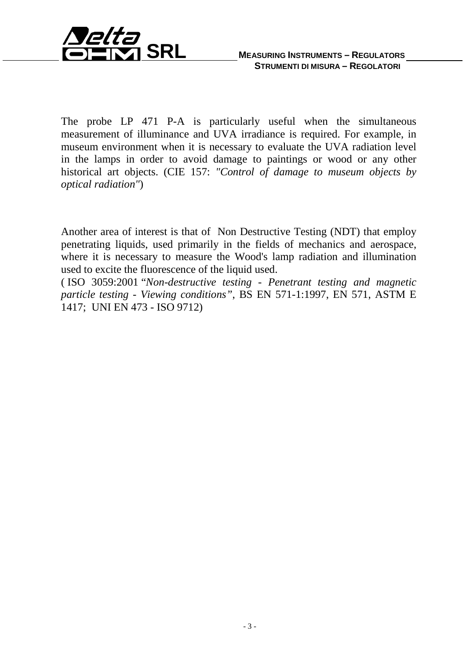

The probe LP 471 P-A is particularly useful when the simultaneous measurement of illuminance and UVA irradiance is required. For example, in museum environment when it is necessary to evaluate the UVA radiation level in the lamps in order to avoid damage to paintings or wood or any other historical art objects. (CIE 157: *"Control of damage to museum objects by optical radiation"*)

Another area of interest is that of Non Destructive Testing (NDT) that employ penetrating liquids, used primarily in the fields of mechanics and aerospace, where it is necessary to measure the Wood's lamp radiation and illumination used to excite the fluorescence of the liquid used.

( ISO 3059:2001 "*Non-destructive testing - Penetrant testing and magnetic particle testing - Viewing conditions"*, BS EN 571-1:1997, EN 571, ASTM E 1417; UNI EN 473 - ISO 9712)